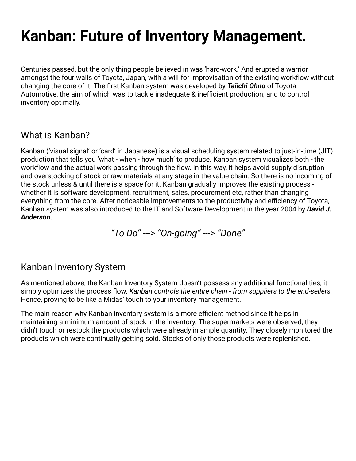# **Kanban: Future of Inventory Management.**

Centuries passed, but the only thing people believed in was 'hard-work.' And erupted a warrior amongst the four walls of Toyota, Japan, with a will for improvisation of the existing workflow without changing the core of it. The first Kanban system was developed by *[Taiichi Ohno](https://en.wikipedia.org/wiki/Taiichi_Ohno)* of Toyota Automotive, the aim of which was to tackle inadequate & inefficient production; and to control inventory optimally.

# What is Kanban?

Kanban ('visual signal' or 'card' in Japanese) is a visual scheduling system related to just-in-time (JIT) production that tells you 'what - when - how much' to produce. Kanban system visualizes both - the workflow and the actual work passing through the flow. In this way, it helps avoid supply disruption and overstocking of stock or raw materials at any stage in the value chain. So there is no incoming of the stock unless & until there is a space for it. Kanban gradually improves the existing process whether it is software development, recruitment, sales, procurement etc, rather than changing everything from the core. After noticeable improvements to the productivity and efficiency of Toyota, Kanban system was also introduced to the IT and Software Development in the year 2004 by *David J. Anderson*.

*"To Do'' ---> "On-going" ---> "Done"*

# Kanban Inventory System

As mentioned above, the Kanban Inventory System doesn't possess any additional functionalities, it simply optimizes the process flow. *Kanban controls the entire chain - from suppliers to the end-sellers.* Hence, proving to be like a Midas' touch to your inventory management.

The main reason why Kanban inventory system is a more efficient method since it helps in maintaining a minimum amount of stock in the inventory. The supermarkets were observed, they didn't touch or restock the products which were already in ample quantity. They closely monitored the products which were continually getting sold. Stocks of only those products were replenished.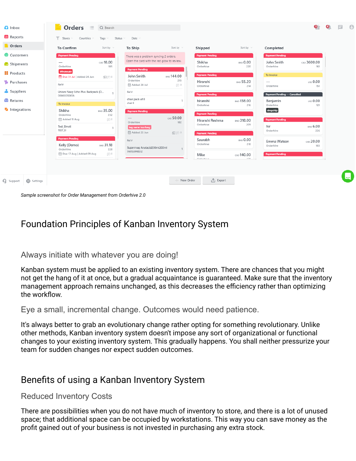

*Sample screenshot for Order Management from Orderhive 2.0*

# Foundation Principles of Kanban Inventory System

#### Always initiate with whatever you are doing!

Kanban system must be applied to an existing inventory system. There are chances that you might not get the hang of it at once, but a gradual acquaintance is guaranteed. Make sure that the inventory management approach remains unchanged, as this decreases the efficiency rather than optimizing the workflow.

Eye a small, incremental change. Outcomes would need patience.

It's always better to grab an evolutionary change rather opting for something revolutionary. Unlike other methods, Kanban inventory system doesn't impose any sort of organizational or functional changes to your existing inventory system. This gradually happens. You shall neither pressurize your team for sudden changes nor expect sudden outcomes.

## Benefits of using a Kanban Inventory System

#### Reduced Inventory Costs

There are possibilities when you do not have much of inventory to store, and there is a lot of unused space; that additional space can be occupied by workstations. This way you can save money as the profit gained out of your business is not invested in purchasing any extra stock.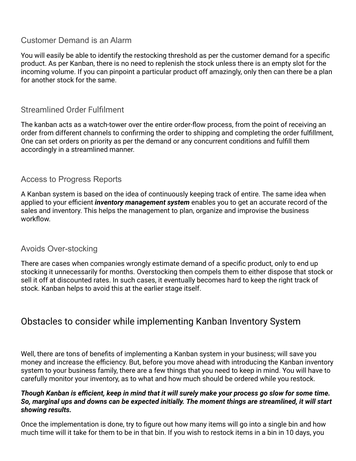### Customer Demand is an Alarm

You will easily be able to identify the restocking threshold as per the customer demand for a specific product. As per Kanban, there is no need to replenish the stock unless there is an empty slot for the incoming volume. If you can pinpoint a particular product off amazingly, only then can there be a plan for another stock for the same.

## Streamlined Order Fulfilment

The kanban acts as a watch-tower over the entire order-flow process, from the point of receiving an order from different channels to confirming the order to shipping and completing the order fulfillment, One can set orders on priority as per the demand or any concurrent conditions and fulfill them accordingly in a streamlined manner.

#### Access to Progress Reports

A Kanban system is based on the idea of continuously keeping track of entire. The same idea when applied to your efficient *inventory management system* enables you to get an accurate record of the sales and inventory. This helps the management to plan, organize and improvise the business workflow.

#### Avoids Over-stocking

There are cases when companies wrongly estimate demand of a specific product, only to end up stocking it unnecessarily for months. Overstocking then compels them to either dispose that stock or sell it off at discounted rates. In such cases, it eventually becomes hard to keep the right track of stock. Kanban helps to avoid this at the earlier stage itself.

# Obstacles to consider while implementing Kanban Inventory System

Well, there are tons of benefits of implementing a Kanban system in your business; will save you money and increase the efficiency. But, before you move ahead with introducing the Kanban inventory system to your business family, there are a few things that you need to keep in mind. You will have to carefully monitor your inventory, as to what and how much should be ordered while you restock.

#### *Though Kanban is efficient, keep in mind that it will surely make your process go slow for some time. So, marginal ups and downs can be expected initially. The moment things are streamlined, it will start showing results.*

Once the implementation is done, try to figure out how many items will go into a single bin and how much time will it take for them to be in that bin. If you wish to restock items in a bin in 10 days, you